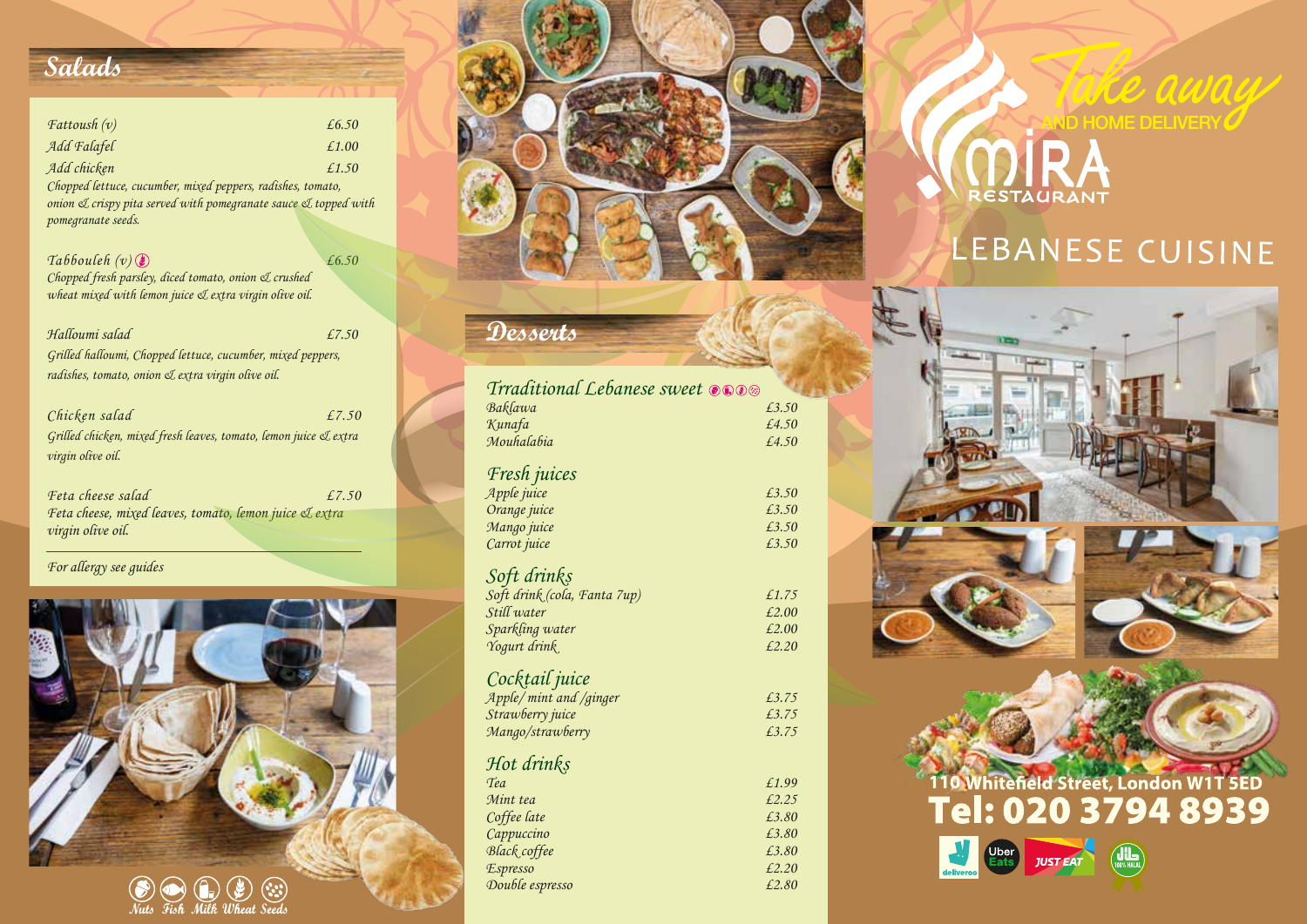## **Salads**

| $\textit{Fattoush}\left(v\right)$ | £6.50 |
|-----------------------------------|-------|
| Add Falafel                       | £1.00 |
| Add chicken                       | £1.50 |

*Chopped lettuce, cucumber, mixed peppers, radishes, tomato, onion & crispy pita served with pomegranate sauce & topped with pomegranate seeds.*

*Tabbouleh (v) £6.50 Chopped fresh parsley, diced tomato, onion & crushed wheat mixed with lemon juice & extra virgin olive oil.*

*Halloumi salad £7.50 Grilled halloumi, Chopped lettuce, cucumber, mixed peppers, radishes, tomato, onion & extra virgin olive oil.*

*Chicken salad £7.50 Grilled chicken, mixed fresh leaves, tomato, lemon juice & extra virgin olive oil.*

*Feta cheese salad £7.50 Feta cheese, mixed leaves, tomato, lemon juice & extra virgin olive oil.*

*For allergy see guides* 





## **Desserts**

| Trraditional Lebanese sweet ones |       |
|----------------------------------|-------|
| Baklawa                          | £3.50 |
| Kunafa                           | £4.50 |
| Mouhalabia                       | £4.50 |
| Fresh juices                     |       |
| Apple juice                      | £3.50 |
| Orange juice                     | £3.50 |
| Mango juice                      | £3.50 |
| Carrot juice                     | £3.50 |
| Soft drinks                      |       |
| Soft drink (cola, Fanta 7up)     | £1.75 |
| Still water                      | £2.00 |
| Sparkling water                  | £2.00 |
| Yogurt drink                     | £2.20 |
| Cocktail juice                   |       |
| Apple/mint and /ginger           | £3.75 |
| Strawberry juice                 | £3.75 |
| Mango/strawberry                 | £3.75 |
| Hot drinks                       |       |
| Tea                              | £1.99 |
| Mint tea                         | £2.25 |
| Coffee late                      | £3.80 |
| Cappuccino                       | £3.80 |
| Black coffee                     | £3.80 |
| <b>Espresso</b>                  | £2.20 |
| Double espresso                  | £2.80 |
|                                  |       |



# LEBANESE CUISINE